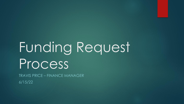# Funding Request Process

TRAVIS PRICE – FINANCE MANAGER 6/15/22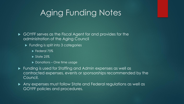# Aging Funding Notes

GOYFF serves as the Fiscal Agent for and provides for the administration of the Aging Council

- ► Funding is split into 3 categories
	- Federal 75%
	- $\blacktriangleright$  State 25%
	- ▶ Donations One time usage
- Funding is used for Staffing and Admin expenses as well as contracted expenses, events or sponsorships recommended by the Council.
- Any expenses must follow State and Federal regulations as well as GOYFF policies and procedures.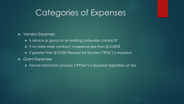### Categories of Expenses

#### ▶ Vendor Expenses

- ▶ Is service or good on an existing statewide contract?
- If no state-wide contract, is expense less than \$10,000?
- If greater than \$10,000 Request for Quotes ("RFQ") is required.
- Grant Expenses
	- ▶ Formal solicitation process ("RFGA") is required regardless of size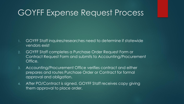### GOYFF Expense Request Process

- 1. GOYFF Staff inquires/researches need to determine if statewide vendors exist
- 2. GOYFF Staff completes a Purchase Order Request Form or Contract Request Form and submits to Accounting/Procurement Office.
- 3. Accounting/Procurement Office verifies contract and either prepares and routes Purchase Order or Contract for formal approval and obligation.
- 4. After PO/Contract is signed, GOYFF Staff receives copy giving them approval to place order.